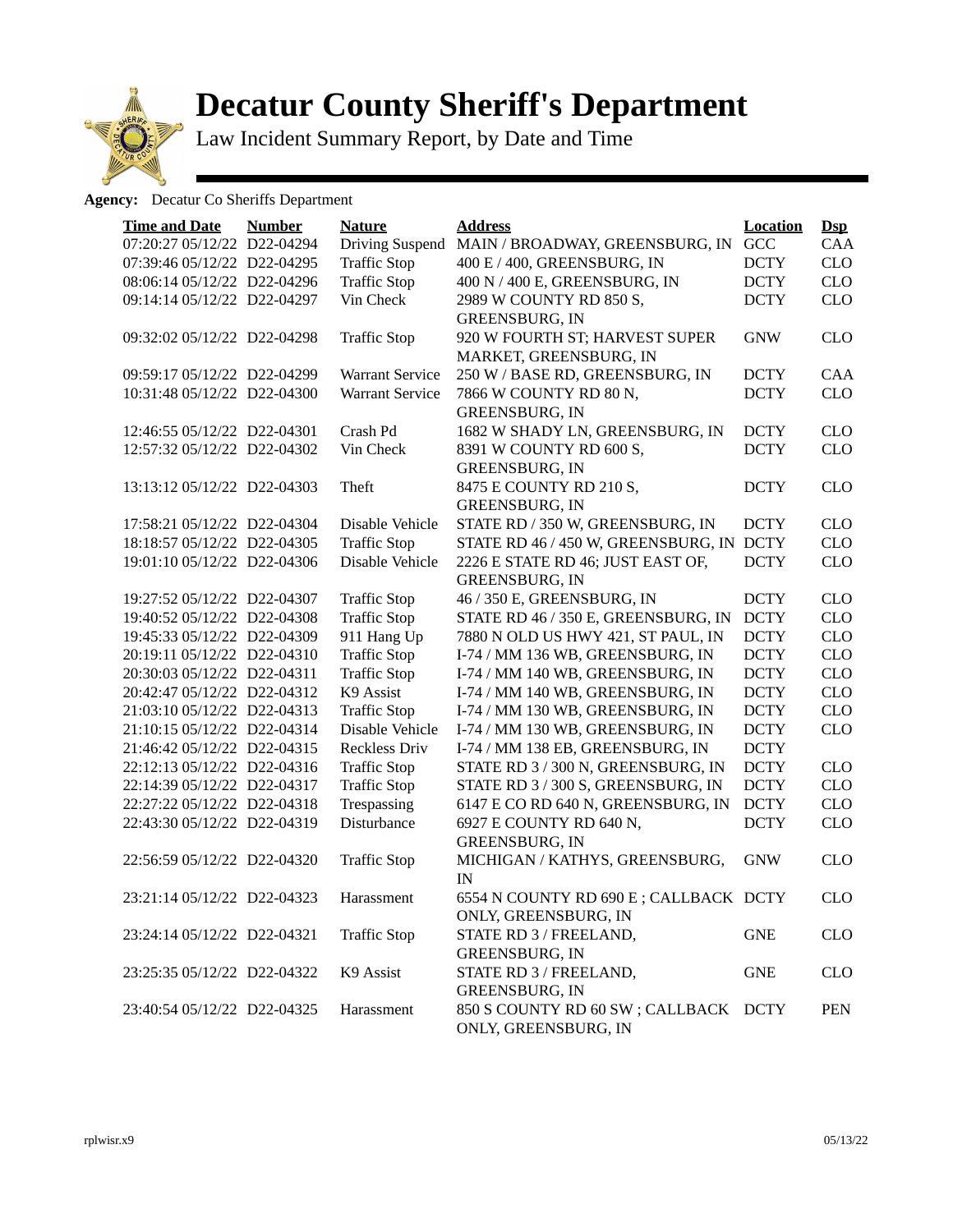

## **Decatur County Sheriff's Department**

Law Incident Summary Report, by Date and Time

## Agency: Decatur Co Sheriffs Department

| <b>Time and Date</b>        | <b>Number</b> | <b>Nature</b>          | <b>Address</b>                        | <b>Location</b> | $\mathbf{Dsp}$ |
|-----------------------------|---------------|------------------------|---------------------------------------|-----------------|----------------|
| 07:20:27 05/12/22 D22-04294 |               | Driving Suspend        | MAIN / BROADWAY, GREENSBURG, IN       | GCC             | CAA            |
| 07:39:46 05/12/22 D22-04295 |               | <b>Traffic Stop</b>    | 400 E / 400, GREENSBURG, IN           | <b>DCTY</b>     | CLO            |
| 08:06:14 05/12/22 D22-04296 |               | <b>Traffic Stop</b>    | 400 N / 400 E, GREENSBURG, IN         | <b>DCTY</b>     | CLO            |
| 09:14:14 05/12/22 D22-04297 |               | Vin Check              | 2989 W COUNTY RD 850 S,               | <b>DCTY</b>     | <b>CLO</b>     |
|                             |               |                        | <b>GREENSBURG, IN</b>                 |                 |                |
| 09:32:02 05/12/22 D22-04298 |               | <b>Traffic Stop</b>    | 920 W FOURTH ST; HARVEST SUPER        | <b>GNW</b>      | <b>CLO</b>     |
|                             |               |                        | MARKET, GREENSBURG, IN                |                 |                |
| 09:59:17 05/12/22 D22-04299 |               | <b>Warrant Service</b> | 250 W / BASE RD, GREENSBURG, IN       | <b>DCTY</b>     | CAA            |
| 10:31:48 05/12/22 D22-04300 |               | <b>Warrant Service</b> | 7866 W COUNTY RD 80 N,                | <b>DCTY</b>     | <b>CLO</b>     |
|                             |               |                        | <b>GREENSBURG, IN</b>                 |                 |                |
| 12:46:55 05/12/22 D22-04301 |               | Crash Pd               | 1682 W SHADY LN, GREENSBURG, IN       | <b>DCTY</b>     | <b>CLO</b>     |
| 12:57:32 05/12/22 D22-04302 |               | Vin Check              | 8391 W COUNTY RD 600 S,               | <b>DCTY</b>     | <b>CLO</b>     |
|                             |               |                        | <b>GREENSBURG, IN</b>                 |                 |                |
| 13:13:12 05/12/22 D22-04303 |               | Theft                  | 8475 E COUNTY RD 210 S,               | <b>DCTY</b>     | <b>CLO</b>     |
|                             |               |                        | <b>GREENSBURG, IN</b>                 |                 |                |
| 17:58:21 05/12/22 D22-04304 |               | Disable Vehicle        | STATE RD / 350 W, GREENSBURG, IN      | <b>DCTY</b>     | <b>CLO</b>     |
| 18:18:57 05/12/22 D22-04305 |               | <b>Traffic Stop</b>    | STATE RD 46 / 450 W, GREENSBURG, IN   | <b>DCTY</b>     | CLO            |
| 19:01:10 05/12/22 D22-04306 |               | Disable Vehicle        | 2226 E STATE RD 46; JUST EAST OF,     | <b>DCTY</b>     | <b>CLO</b>     |
|                             |               |                        | <b>GREENSBURG, IN</b>                 |                 |                |
| 19:27:52 05/12/22 D22-04307 |               | <b>Traffic Stop</b>    | 46 / 350 E, GREENSBURG, IN            | <b>DCTY</b>     | <b>CLO</b>     |
| 19:40:52 05/12/22 D22-04308 |               | <b>Traffic Stop</b>    | STATE RD 46 / 350 E, GREENSBURG, IN   | <b>DCTY</b>     | <b>CLO</b>     |
| 19:45:33 05/12/22 D22-04309 |               | 911 Hang Up            | 7880 N OLD US HWY 421, ST PAUL, IN    | <b>DCTY</b>     | <b>CLO</b>     |
| 20:19:11 05/12/22 D22-04310 |               | <b>Traffic Stop</b>    | I-74 / MM 136 WB, GREENSBURG, IN      | <b>DCTY</b>     | <b>CLO</b>     |
| 20:30:03 05/12/22 D22-04311 |               | <b>Traffic Stop</b>    | I-74 / MM 140 WB, GREENSBURG, IN      | <b>DCTY</b>     | <b>CLO</b>     |
| 20:42:47 05/12/22 D22-04312 |               | K9 Assist              | I-74 / MM 140 WB, GREENSBURG, IN      | <b>DCTY</b>     | <b>CLO</b>     |
| 21:03:10 05/12/22 D22-04313 |               | <b>Traffic Stop</b>    | I-74 / MM 130 WB, GREENSBURG, IN      | <b>DCTY</b>     | <b>CLO</b>     |
| 21:10:15 05/12/22 D22-04314 |               | Disable Vehicle        | I-74 / MM 130 WB, GREENSBURG, IN      | <b>DCTY</b>     | <b>CLO</b>     |
| 21:46:42 05/12/22 D22-04315 |               | Reckless Driv          | I-74 / MM 138 EB, GREENSBURG, IN      | <b>DCTY</b>     |                |
| 22:12:13 05/12/22 D22-04316 |               | <b>Traffic Stop</b>    | STATE RD 3 / 300 N, GREENSBURG, IN    | <b>DCTY</b>     | <b>CLO</b>     |
| 22:14:39 05/12/22 D22-04317 |               | <b>Traffic Stop</b>    | STATE RD 3 / 300 S, GREENSBURG, IN    | <b>DCTY</b>     | <b>CLO</b>     |
| 22:27:22 05/12/22 D22-04318 |               | Trespassing            | 6147 E CO RD 640 N, GREENSBURG, IN    | <b>DCTY</b>     | CLO            |
| 22:43:30 05/12/22 D22-04319 |               | Disturbance            | 6927 E COUNTY RD 640 N,               | <b>DCTY</b>     | <b>CLO</b>     |
|                             |               |                        | <b>GREENSBURG, IN</b>                 |                 |                |
| 22:56:59 05/12/22 D22-04320 |               | <b>Traffic Stop</b>    | MICHIGAN / KATHYS, GREENSBURG,        | <b>GNW</b>      | <b>CLO</b>     |
|                             |               |                        | IN                                    |                 |                |
| 23:21:14 05/12/22 D22-04323 |               | Harassment             | 6554 N COUNTY RD 690 E; CALLBACK DCTY |                 | <b>CLO</b>     |
|                             |               |                        | ONLY, GREENSBURG, IN                  |                 |                |
| 23:24:14 05/12/22 D22-04321 |               | <b>Traffic Stop</b>    | STATE RD 3 / FREELAND,                | <b>GNE</b>      | <b>CLO</b>     |
|                             |               |                        | <b>GREENSBURG, IN</b>                 |                 |                |
| 23:25:35 05/12/22 D22-04322 |               | K9 Assist              | STATE RD 3 / FREELAND,                | <b>GNE</b>      | <b>CLO</b>     |
|                             |               |                        | <b>GREENSBURG, IN</b>                 |                 |                |
| 23:40:54 05/12/22 D22-04325 |               | Harassment             | 850 S COUNTY RD 60 SW; CALLBACK DCTY  |                 | PEN            |
|                             |               |                        | ONLY, GREENSBURG, IN                  |                 |                |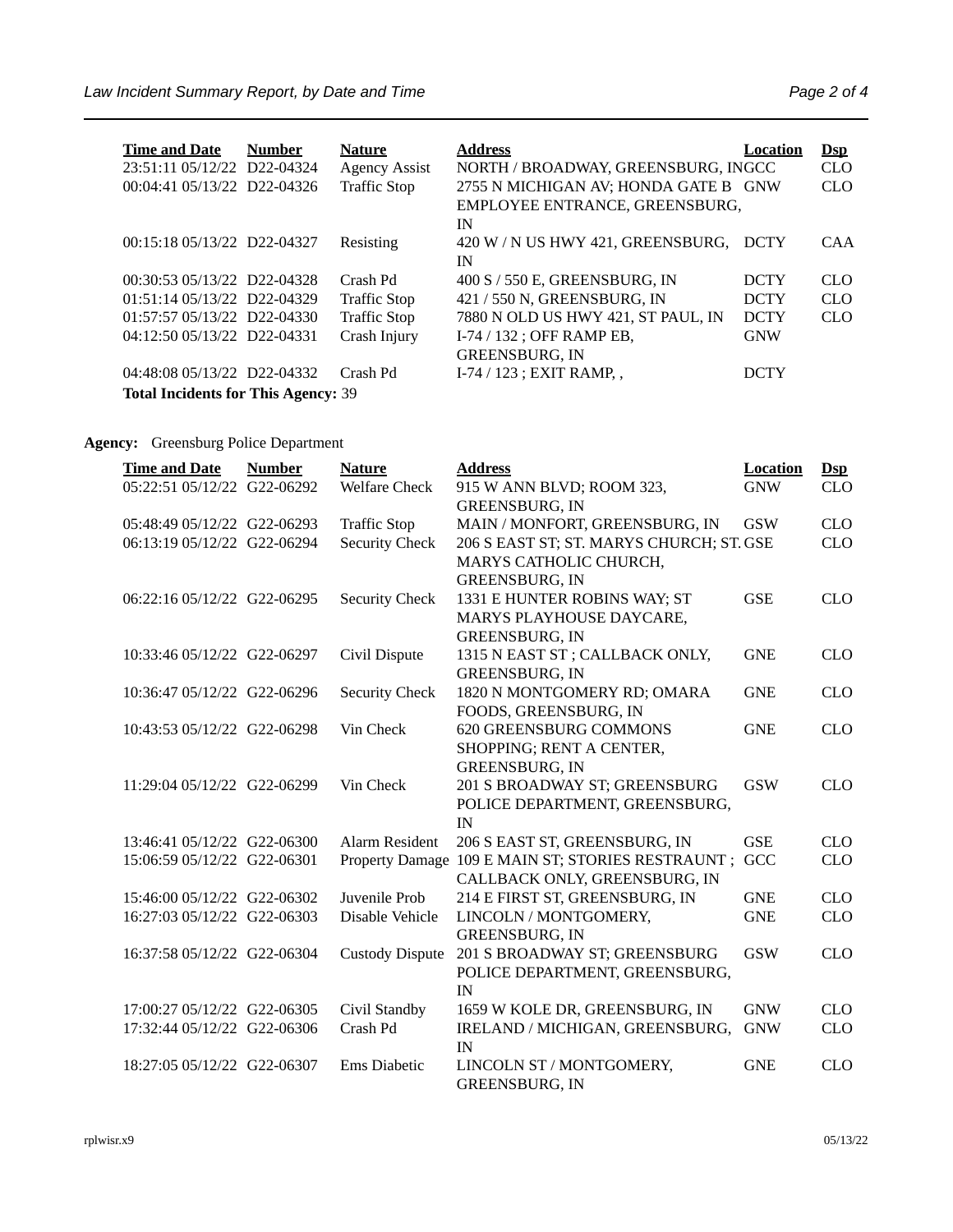| <b>Time and Date</b>                       | Number | <b>Nature</b>        | <b>Address</b>                         | Location    | $\mathbf{Dsp}$ |  |
|--------------------------------------------|--------|----------------------|----------------------------------------|-------------|----------------|--|
| 23:51:11 05/12/22 D22-04324                |        | <b>Agency Assist</b> | NORTH / BROADWAY, GREENSBURG, INGCC    |             | <b>CLO</b>     |  |
| 00:04:41 05/13/22 D22-04326                |        | <b>Traffic Stop</b>  | 2755 N MICHIGAN AV: HONDA GATE B GNW   |             | <b>CLO</b>     |  |
|                                            |        |                      | EMPLOYEE ENTRANCE, GREENSBURG.         |             |                |  |
|                                            |        |                      | IN                                     |             |                |  |
| 00:15:18 05/13/22 D22-04327                |        | Resisting            | 420 W / N US HWY 421, GREENSBURG, DCTY |             | CAA            |  |
|                                            |        |                      | IN                                     |             |                |  |
| 00:30:53 05/13/22 D22-04328                |        | Crash Pd             | 400 S / 550 E, GREENSBURG, IN          | <b>DCTY</b> | <b>CLO</b>     |  |
| 01:51:14 05/13/22 D22-04329                |        | <b>Traffic Stop</b>  | 421 / 550 N. GREENSBURG. IN            | <b>DCTY</b> | <b>CLO</b>     |  |
| 01:57:57 05/13/22 D22-04330                |        | <b>Traffic Stop</b>  | 7880 N OLD US HWY 421, ST PAUL, IN     | <b>DCTY</b> | <b>CLO</b>     |  |
| 04:12:50 05/13/22 D22-04331                |        | Crash Injury         | I-74 / 132 ; OFF RAMP EB,              | <b>GNW</b>  |                |  |
|                                            |        |                      | <b>GREENSBURG, IN</b>                  |             |                |  |
| 04:48:08 05/13/22 D22-04332                |        | Crash Pd             | $I-74/123$ : EXIT RAMP                 | <b>DCTY</b> |                |  |
| <b>Total Incidents for This Agency: 39</b> |        |                      |                                        |             |                |  |

## **Agency:** Greensburg Police Department

| <b>Time and Date</b><br>05:22:51 05/12/22 G22-06292 | <b>Number</b> | <b>Nature</b><br><b>Welfare Check</b> | <b>Address</b><br>915 W ANN BLVD; ROOM 323,                                                 | <b>Location</b><br><b>GNW</b> | $\mathbf{Dsp}$<br><b>CLO</b> |
|-----------------------------------------------------|---------------|---------------------------------------|---------------------------------------------------------------------------------------------|-------------------------------|------------------------------|
|                                                     |               |                                       | <b>GREENSBURG, IN</b>                                                                       |                               |                              |
| 05:48:49 05/12/22 G22-06293                         |               | <b>Traffic Stop</b>                   | MAIN / MONFORT, GREENSBURG, IN                                                              | GSW                           | <b>CLO</b>                   |
| 06:13:19 05/12/22 G22-06294                         |               | <b>Security Check</b>                 | 206 S EAST ST; ST. MARYS CHURCH; ST. GSE<br>MARYS CATHOLIC CHURCH,<br><b>GREENSBURG, IN</b> |                               | <b>CLO</b>                   |
| 06:22:16 05/12/22 G22-06295                         |               | <b>Security Check</b>                 | 1331 E HUNTER ROBINS WAY; ST<br>MARYS PLAYHOUSE DAYCARE,<br><b>GREENSBURG, IN</b>           | <b>GSE</b>                    | <b>CLO</b>                   |
| 10:33:46 05/12/22 G22-06297                         |               | Civil Dispute                         | 1315 N EAST ST; CALLBACK ONLY,<br><b>GREENSBURG, IN</b>                                     | <b>GNE</b>                    | <b>CLO</b>                   |
| 10:36:47 05/12/22 G22-06296                         |               | <b>Security Check</b>                 | 1820 N MONTGOMERY RD; OMARA<br>FOODS, GREENSBURG, IN                                        | <b>GNE</b>                    | <b>CLO</b>                   |
| 10:43:53 05/12/22 G22-06298                         |               | Vin Check                             | 620 GREENSBURG COMMONS<br>SHOPPING; RENT A CENTER,<br><b>GREENSBURG, IN</b>                 | <b>GNE</b>                    | <b>CLO</b>                   |
| 11:29:04 05/12/22 G22-06299                         |               | Vin Check                             | 201 S BROADWAY ST; GREENSBURG<br>POLICE DEPARTMENT, GREENSBURG,<br>IN                       | <b>GSW</b>                    | <b>CLO</b>                   |
| 13:46:41 05/12/22 G22-06300                         |               | <b>Alarm Resident</b>                 | 206 S EAST ST, GREENSBURG, IN                                                               | <b>GSE</b>                    | <b>CLO</b>                   |
| 15:06:59 05/12/22 G22-06301                         |               |                                       | Property Damage 109 E MAIN ST; STORIES RESTRAUNT;<br>CALLBACK ONLY, GREENSBURG, IN          | GCC                           | <b>CLO</b>                   |
| 15:46:00 05/12/22 G22-06302                         |               | Juvenile Prob                         | 214 E FIRST ST, GREENSBURG, IN                                                              | <b>GNE</b>                    | <b>CLO</b>                   |
| 16:27:03 05/12/22 G22-06303                         |               | Disable Vehicle                       | LINCOLN / MONTGOMERY,<br><b>GREENSBURG, IN</b>                                              | <b>GNE</b>                    | <b>CLO</b>                   |
| 16:37:58 05/12/22 G22-06304                         |               | <b>Custody Dispute</b>                | 201 S BROADWAY ST; GREENSBURG<br>POLICE DEPARTMENT, GREENSBURG,<br>IN                       | <b>GSW</b>                    | <b>CLO</b>                   |
| 17:00:27 05/12/22 G22-06305                         |               | Civil Standby                         | 1659 W KOLE DR, GREENSBURG, IN                                                              | <b>GNW</b>                    | CLO                          |
| 17:32:44 05/12/22 G22-06306                         |               | Crash Pd                              | IRELAND / MICHIGAN, GREENSBURG,<br>IN                                                       | <b>GNW</b>                    | <b>CLO</b>                   |
| 18:27:05 05/12/22 G22-06307                         |               | <b>Ems Diabetic</b>                   | LINCOLN ST / MONTGOMERY,<br><b>GREENSBURG, IN</b>                                           | <b>GNE</b>                    | <b>CLO</b>                   |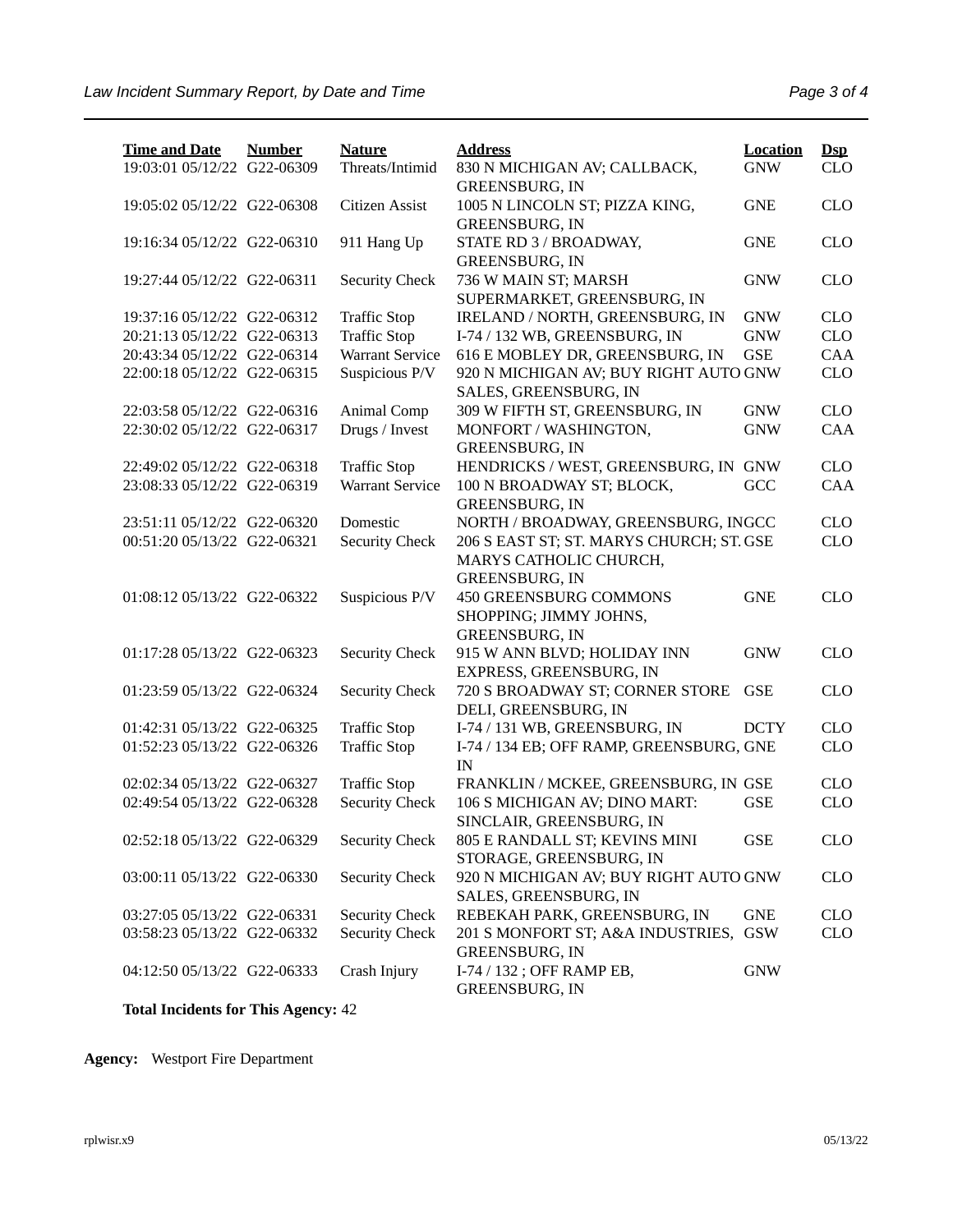| <b>Time and Date</b>        | <b>Number</b> | <b>Nature</b>          | <b>Address</b>                                                 | <b>Location</b> | $DSD$      |
|-----------------------------|---------------|------------------------|----------------------------------------------------------------|-----------------|------------|
| 19:03:01 05/12/22 G22-06309 |               | Threats/Intimid        | 830 N MICHIGAN AV; CALLBACK,<br><b>GREENSBURG, IN</b>          | <b>GNW</b>      | <b>CLO</b> |
| 19:05:02 05/12/22 G22-06308 |               | Citizen Assist         | 1005 N LINCOLN ST; PIZZA KING,<br><b>GREENSBURG, IN</b>        | <b>GNE</b>      | <b>CLO</b> |
| 19:16:34 05/12/22 G22-06310 |               | 911 Hang Up            | STATE RD 3 / BROADWAY,<br><b>GREENSBURG, IN</b>                | <b>GNE</b>      | <b>CLO</b> |
| 19:27:44 05/12/22 G22-06311 |               | <b>Security Check</b>  | 736 W MAIN ST; MARSH<br>SUPERMARKET, GREENSBURG, IN            | <b>GNW</b>      | <b>CLO</b> |
| 19:37:16 05/12/22 G22-06312 |               | <b>Traffic Stop</b>    | IRELAND / NORTH, GREENSBURG, IN                                | <b>GNW</b>      | <b>CLO</b> |
| 20:21:13 05/12/22 G22-06313 |               | <b>Traffic Stop</b>    | I-74 / 132 WB, GREENSBURG, IN                                  | <b>GNW</b>      | CLO        |
| 20:43:34 05/12/22 G22-06314 |               | <b>Warrant Service</b> | 616 E MOBLEY DR, GREENSBURG, IN                                | <b>GSE</b>      | CAA        |
|                             |               |                        |                                                                |                 |            |
| 22:00:18 05/12/22 G22-06315 |               | Suspicious P/V         | 920 N MICHIGAN AV; BUY RIGHT AUTO GNW<br>SALES, GREENSBURG, IN |                 | <b>CLO</b> |
| 22:03:58 05/12/22 G22-06316 |               | Animal Comp            | 309 W FIFTH ST, GREENSBURG, IN                                 | <b>GNW</b>      | CLO        |
| 22:30:02 05/12/22 G22-06317 |               | Drugs / Invest         | MONFORT / WASHINGTON,<br><b>GREENSBURG, IN</b>                 | <b>GNW</b>      | <b>CAA</b> |
| 22:49:02 05/12/22 G22-06318 |               | <b>Traffic Stop</b>    | HENDRICKS / WEST, GREENSBURG, IN GNW                           |                 | <b>CLO</b> |
| 23:08:33 05/12/22 G22-06319 |               | <b>Warrant Service</b> | 100 N BROADWAY ST; BLOCK,                                      | GCC             | <b>CAA</b> |
|                             |               |                        | <b>GREENSBURG, IN</b>                                          |                 |            |
| 23:51:11 05/12/22 G22-06320 |               | Domestic               | NORTH / BROADWAY, GREENSBURG, INGCC                            |                 | <b>CLO</b> |
| 00:51:20 05/13/22 G22-06321 |               | <b>Security Check</b>  | 206 S EAST ST; ST. MARYS CHURCH; ST. GSE                       |                 | <b>CLO</b> |
|                             |               |                        | MARYS CATHOLIC CHURCH,<br><b>GREENSBURG, IN</b>                |                 |            |
| 01:08:12 05/13/22 G22-06322 |               | Suspicious P/V         | 450 GREENSBURG COMMONS                                         | <b>GNE</b>      | <b>CLO</b> |
|                             |               |                        | SHOPPING; JIMMY JOHNS,                                         |                 |            |
|                             |               |                        | <b>GREENSBURG, IN</b>                                          |                 |            |
| 01:17:28 05/13/22 G22-06323 |               | <b>Security Check</b>  | 915 W ANN BLVD; HOLIDAY INN<br>EXPRESS, GREENSBURG, IN         | <b>GNW</b>      | <b>CLO</b> |
| 01:23:59 05/13/22 G22-06324 |               | <b>Security Check</b>  | 720 S BROADWAY ST; CORNER STORE                                | <b>GSE</b>      | CLO        |
|                             |               |                        | DELI, GREENSBURG, IN                                           |                 |            |
| 01:42:31 05/13/22 G22-06325 |               | <b>Traffic Stop</b>    | I-74 / 131 WB, GREENSBURG, IN                                  | <b>DCTY</b>     | <b>CLO</b> |
| 01:52:23 05/13/22 G22-06326 |               | <b>Traffic Stop</b>    | I-74 / 134 EB; OFF RAMP, GREENSBURG, GNE                       |                 | CLO        |
|                             |               |                        | IN                                                             |                 |            |
| 02:02:34 05/13/22 G22-06327 |               | <b>Traffic Stop</b>    | FRANKLIN / MCKEE, GREENSBURG, IN GSE                           |                 | <b>CLO</b> |
| 02:49:54 05/13/22 G22-06328 |               | <b>Security Check</b>  | 106 S MICHIGAN AV; DINO MART:                                  | <b>GSE</b>      | <b>CLO</b> |
|                             |               |                        | SINCLAIR, GREENSBURG, IN                                       |                 |            |
| 02:52:18 05/13/22 G22-06329 |               | <b>Security Check</b>  | 805 E RANDALL ST; KEVINS MINI<br>STORAGE, GREENSBURG, IN       | <b>GSE</b>      | CLO        |
| 03:00:11 05/13/22 G22-06330 |               | <b>Security Check</b>  | 920 N MICHIGAN AV; BUY RIGHT AUTO GNW                          |                 | CLO        |
|                             |               |                        | SALES, GREENSBURG, IN                                          |                 |            |
| 03:27:05 05/13/22 G22-06331 |               | <b>Security Check</b>  | REBEKAH PARK, GREENSBURG, IN                                   | <b>GNE</b>      | CLO        |
| 03:58:23 05/13/22 G22-06332 |               | <b>Security Check</b>  | 201 S MONFORT ST; A&A INDUSTRIES, GSW<br><b>GREENSBURG, IN</b> |                 | CLO        |
|                             |               |                        |                                                                |                 |            |
| 04:12:50 05/13/22 G22-06333 |               | Crash Injury           | I-74 / 132 ; OFF RAMP EB,<br><b>GREENSBURG, IN</b>             | <b>GNW</b>      |            |

**Total Incidents for This Agency:** 42

**Agency:** Westport Fire Department